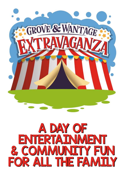

## A DAY OF A DAY OF ENTERTAINMENT ENTERTAINMENT & COMMUNITY FUN & COMMUNITY FUN FOR ALL THE FAMILY FOR ALL THE FAMILY